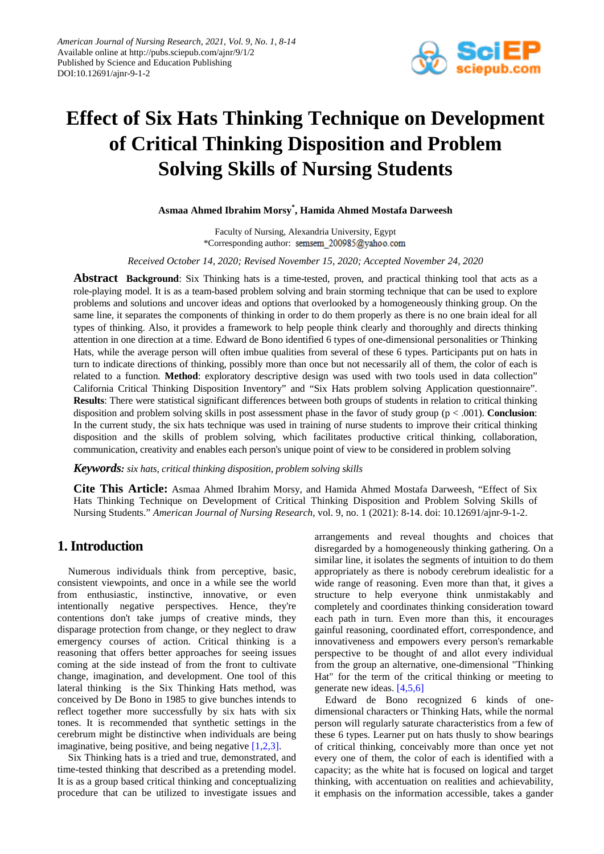

# **Effect of Six Hats Thinking Technique on Development of Critical Thinking Disposition and Problem Solving Skills of Nursing Students**

**Asmaa Ahmed Ibrahim Morsy\* , Hamida Ahmed Mostafa Darweesh**

Faculty of Nursing, Alexandria University, Egypt \*Corresponding author: semsem 200985@yahoo.com

*Received October 14, 2020; Revised November 15, 2020; Accepted November 24, 2020*

**Abstract Background**: Six Thinking hats is a time-tested, proven, and practical thinking tool that acts as a role-playing model. It is as a team-based problem solving and brain storming technique that can be used to explore problems and solutions and uncover ideas and options that overlooked by a homogeneously thinking group. On the same line, it separates the components of thinking in order to do them properly as there is no one brain ideal for all types of thinking. Also, it provides a framework to help people think clearly and thoroughly and directs thinking attention in one direction at a time. Edward de Bono identified 6 types of one-dimensional personalities or Thinking Hats, while the average person will often imbue qualities from several of these 6 types. Participants put on hats in turn to indicate directions of thinking, possibly more than once but not necessarily all of them, the color of each is related to a function. **Method**: exploratory descriptive design was used with two tools used in data collection" California Critical Thinking Disposition Inventory" and "Six Hats problem solving Application questionnaire". **Results**: There were statistical significant differences between both groups of students in relation to critical thinking disposition and problem solving skills in post assessment phase in the favor of study group (p < .001). **Conclusion**: In the current study, the six hats technique was used in training of nurse students to improve their critical thinking disposition and the skills of problem solving, which facilitates productive critical thinking, collaboration, communication, creativity and enables each person's unique point of view to be considered in problem solving

#### *Keywords: six hats, critical thinking disposition, problem solving skills*

**Cite This Article:** Asmaa Ahmed Ibrahim Morsy, and Hamida Ahmed Mostafa Darweesh, "Effect of Six Hats Thinking Technique on Development of Critical Thinking Disposition and Problem Solving Skills of Nursing Students." *American Journal of Nursing Research*, vol. 9, no. 1 (2021): 8-14. doi: 10.12691/ajnr-9-1-2.

## **1. Introduction**

Numerous individuals think from perceptive, basic, consistent viewpoints, and once in a while see the world from enthusiastic, instinctive, innovative, or even intentionally negative perspectives. Hence, they're contentions don't take jumps of creative minds, they disparage protection from change, or they neglect to draw emergency courses of action. Critical thinking is a reasoning that offers better approaches for seeing issues coming at the side instead of from the front to cultivate change, imagination, and development. One tool of this lateral thinking is the Six Thinking Hats method, was conceived by De Bono in 1985 to give bunches intends to reflect together more successfully by six hats with six tones. It is recommended that synthetic settings in the cerebrum might be distinctive when individuals are being imaginative, being positive, and being negative [\[1,2,3\].](#page-6-0)

Six Thinking hats is a tried and true, demonstrated, and time-tested thinking that described as a pretending model. It is as a group based critical thinking and conceptualizing procedure that can be utilized to investigate issues and arrangements and reveal thoughts and choices that disregarded by a homogeneously thinking gathering. On a similar line, it isolates the segments of intuition to do them appropriately as there is nobody cerebrum idealistic for a wide range of reasoning. Even more than that, it gives a structure to help everyone think unmistakably and completely and coordinates thinking consideration toward each path in turn. Even more than this, it encourages gainful reasoning, coordinated effort, correspondence, and innovativeness and empowers every person's remarkable perspective to be thought of and allot every individual from the group an alternative, one-dimensional "Thinking Hat" for the term of the critical thinking or meeting to generate new ideas. [\[4,5,6\]](#page-6-1)

Edward de Bono recognized 6 kinds of onedimensional characters or Thinking Hats, while the normal person will regularly saturate characteristics from a few of these 6 types. Learner put on hats thusly to show bearings of critical thinking, conceivably more than once yet not every one of them, the color of each is identified with a capacity; as the white hat is focused on logical and target thinking, with accentuation on realities and achievability, it emphasis on the information accessible, takes a gander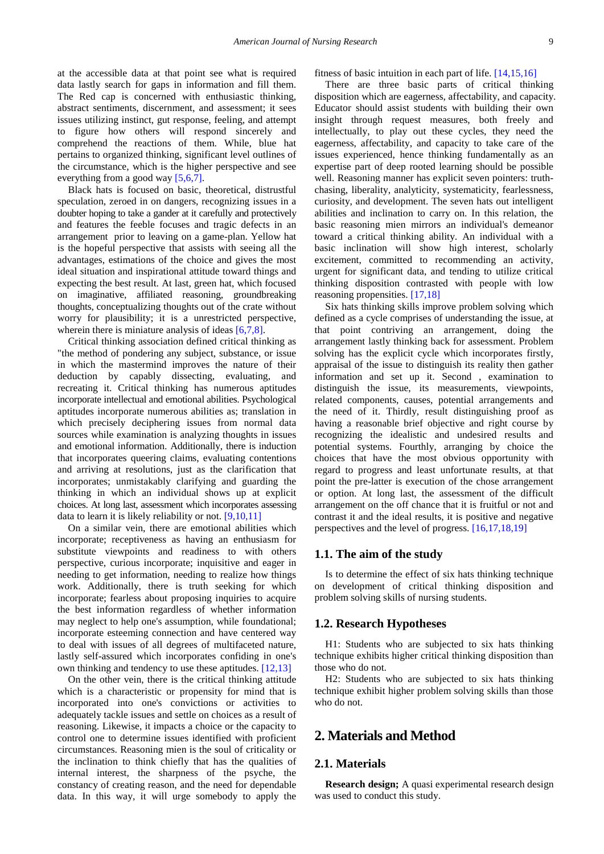at the accessible data at that point see what is required data lastly search for gaps in information and fill them. The Red cap is concerned with enthusiastic thinking, abstract sentiments, discernment, and assessment; it sees issues utilizing instinct, gut response, feeling, and attempt to figure how others will respond sincerely and comprehend the reactions of them. While, blue hat pertains to organized thinking, significant level outlines of the circumstance, which is the higher perspective and see everything from a good way [\[5,6,7\].](#page-6-2)

Black hats is focused on basic, theoretical, distrustful speculation, zeroed in on dangers, recognizing issues in a doubter hoping to take a gander at it carefully and protectively and features the feeble focuses and tragic defects in an arrangement prior to leaving on a game-plan. Yellow hat is the hopeful perspective that assists with seeing all the advantages, estimations of the choice and gives the most ideal situation and inspirational attitude toward things and expecting the best result. At last, green hat, which focused on imaginative, affiliated reasoning, groundbreaking thoughts, conceptualizing thoughts out of the crate without worry for plausibility; it is a unrestricted perspective, wherein there is miniature analysis of ideas [\[6,7,8\].](#page-6-3)

Critical thinking association defined critical thinking as "the method of pondering any subject, substance, or issue in which the mastermind improves the nature of their deduction by capably dissecting, evaluating, and recreating it. Critical thinking has numerous aptitudes incorporate intellectual and emotional abilities. Psychological aptitudes incorporate numerous abilities as; translation in which precisely deciphering issues from normal data sources while examination is analyzing thoughts in issues and emotional information. Additionally, there is induction that incorporates queering claims, evaluating contentions and arriving at resolutions, just as the clarification that incorporates; unmistakably clarifying and guarding the thinking in which an individual shows up at explicit choices. At long last, assessment which incorporates assessing data to learn it is likely reliability or not. [\[9,10,11\]](#page-6-4)

On a similar vein, there are emotional abilities which incorporate; receptiveness as having an enthusiasm for substitute viewpoints and readiness to with others perspective, curious incorporate; inquisitive and eager in needing to get information, needing to realize how things work. Additionally, there is truth seeking for which incorporate; fearless about proposing inquiries to acquire the best information regardless of whether information may neglect to help one's assumption, while foundational; incorporate esteeming connection and have centered way to deal with issues of all degrees of multifaceted nature, lastly self-assured which incorporates confiding in one's own thinking and tendency to use these aptitudes. [\[12,13\]](#page-6-5)

On the other vein, there is the critical thinking attitude which is a characteristic or propensity for mind that is incorporated into one's convictions or activities to adequately tackle issues and settle on choices as a result of reasoning. Likewise, it impacts a choice or the capacity to control one to determine issues identified with proficient circumstances. Reasoning mien is the soul of criticality or the inclination to think chiefly that has the qualities of internal interest, the sharpness of the psyche, the constancy of creating reason, and the need for dependable data. In this way, it will urge somebody to apply the fitness of basic intuition in each part of life. [\[14,15,16\]](#page-6-6)

There are three basic parts of critical thinking disposition which are eagerness, affectability, and capacity. Educator should assist students with building their own insight through request measures, both freely and intellectually, to play out these cycles, they need the eagerness, affectability, and capacity to take care of the issues experienced, hence thinking fundamentally as an expertise part of deep rooted learning should be possible well. Reasoning manner has explicit seven pointers: truthchasing, liberality, analyticity, systematicity, fearlessness, curiosity, and development. The seven hats out intelligent abilities and inclination to carry on. In this relation, the basic reasoning mien mirrors an individual's demeanor toward a critical thinking ability. An individual with a basic inclination will show high interest, scholarly excitement, committed to recommending an activity, urgent for significant data, and tending to utilize critical thinking disposition contrasted with people with low reasoning propensities. [\[17,18\]](#page-6-7)

Six hats thinking skills improve problem solving which defined as a cycle comprises of understanding the issue, at that point contriving an arrangement, doing the arrangement lastly thinking back for assessment. Problem solving has the explicit cycle which incorporates firstly, appraisal of the issue to distinguish its reality then gather information and set up it. Second , examination to distinguish the issue, its measurements, viewpoints, related components, causes, potential arrangements and the need of it. Thirdly, result distinguishing proof as having a reasonable brief objective and right course by recognizing the idealistic and undesired results and potential systems. Fourthly, arranging by choice the choices that have the most obvious opportunity with regard to progress and least unfortunate results, at that point the pre-latter is execution of the chose arrangement or option. At long last, the assessment of the difficult arrangement on the off chance that it is fruitful or not and contrast it and the ideal results, it is positive and negative perspectives and the level of progress. [\[16,17,18,19\]](#page-6-8)

#### **1.1. The aim of the study**

Is to determine the effect of six hats thinking technique on development of critical thinking disposition and problem solving skills of nursing students.

#### **1.2. Research Hypotheses**

H1: Students who are subjected to six hats thinking technique exhibits higher critical thinking disposition than those who do not.

H2: Students who are subjected to six hats thinking technique exhibit higher problem solving skills than those who do not.

# **2. Materials and Method**

## **2.1. Materials**

**Research design;** A quasi experimental research design was used to conduct this study.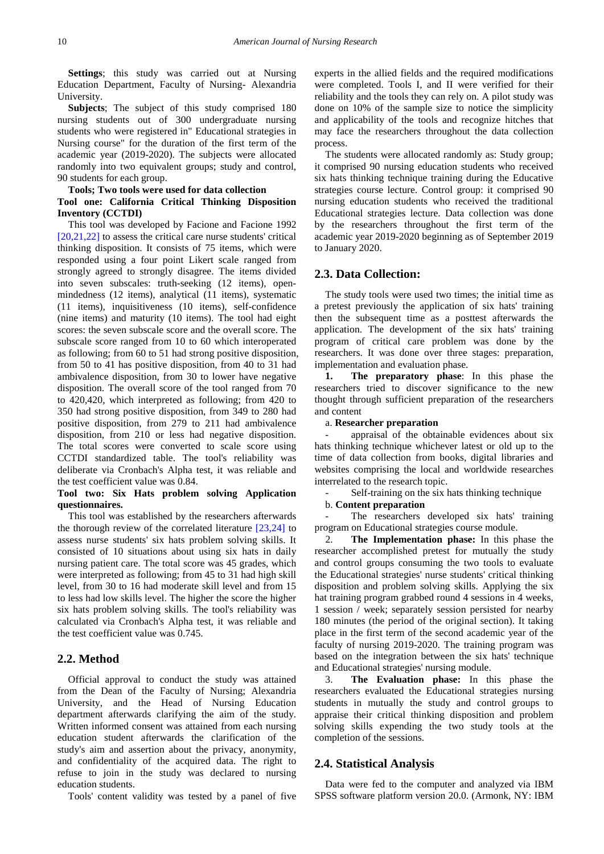**Settings**; this study was carried out at Nursing Education Department, Faculty of Nursing- Alexandria University.

**Subjects**; The subject of this study comprised 180 nursing students out of 300 undergraduate nursing students who were registered in" Educational strategies in Nursing course" for the duration of the first term of the academic year (2019-2020). The subjects were allocated randomly into two equivalent groups; study and control, 90 students for each group.

#### **Tools; Two tools were used for data collection Tool one: California Critical Thinking Disposition Inventory (CCTDI)**

This tool was developed by Facione and Facione 1992 [\[20,21,22\]](#page-6-9) to assess the critical care nurse students' critical thinking disposition. It consists of 75 items, which were responded using a four point Likert scale ranged from strongly agreed to strongly disagree. The items divided into seven subscales: truth-seeking (12 items), openmindedness (12 items), analytical (11 items), systematic (11 items), inquisitiveness (10 items), self-confidence (nine items) and maturity (10 items). The tool had eight scores: the seven subscale score and the overall score. The subscale score ranged from 10 to 60 which interoperated as following; from 60 to 51 had strong positive disposition, from 50 to 41 has positive disposition, from 40 to 31 had ambivalence disposition, from 30 to lower have negative disposition. The overall score of the tool ranged from 70 to 420,420, which interpreted as following; from 420 to 350 had strong positive disposition, from 349 to 280 had positive disposition, from 279 to 211 had ambivalence disposition, from 210 or less had negative disposition. The total scores were converted to scale score using CCTDI standardized table. The tool's reliability was deliberate via Cronbach's Alpha test, it was reliable and the test coefficient value was 0.84.

#### **Tool two: Six Hats problem solving Application questionnaires.**

This tool was established by the researchers afterwards the thorough review of the correlated literature [\[23,24\]](#page-6-10) to assess nurse students' six hats problem solving skills. It consisted of 10 situations about using six hats in daily nursing patient care. The total score was 45 grades, which were interpreted as following; from 45 to 31 had high skill level, from 30 to 16 had moderate skill level and from 15 to less had low skills level. The higher the score the higher six hats problem solving skills. The tool's reliability was calculated via Cronbach's Alpha test, it was reliable and the test coefficient value was 0.745.

## **2.2. Method**

Official approval to conduct the study was attained from the Dean of the Faculty of Nursing; Alexandria University, and the Head of Nursing Education department afterwards clarifying the aim of the study. Written informed consent was attained from each nursing education student afterwards the clarification of the study's aim and assertion about the privacy, anonymity, and confidentiality of the acquired data. The right to refuse to join in the study was declared to nursing education students.

Tools' content validity was tested by a panel of five

experts in the allied fields and the required modifications were completed. Tools I, and II were verified for their reliability and the tools they can rely on. A pilot study was done on 10% of the sample size to notice the simplicity and applicability of the tools and recognize hitches that may face the researchers throughout the data collection process.

The students were allocated randomly as: Study group; it comprised 90 nursing education students who received six hats thinking technique training during the Educative strategies course lecture. Control group: it comprised 90 nursing education students who received the traditional Educational strategies lecture. Data collection was done by the researchers throughout the first term of the academic year 2019-2020 beginning as of September 2019 to January 2020.

#### **2.3. Data Collection:**

The study tools were used two times; the initial time as a pretest previously the application of six hats' training then the subsequent time as a posttest afterwards the application. The development of the six hats' training program of critical care problem was done by the researchers. It was done over three stages: preparation, implementation and evaluation phase.

**1. The preparatory phase**: In this phase the researchers tried to discover significance to the new thought through sufficient preparation of the researchers and content

## a. **Researcher preparation**

appraisal of the obtainable evidences about six hats thinking technique whichever latest or old up to the time of data collection from books, digital libraries and websites comprising the local and worldwide researches interrelated to the research topic.

Self-training on the six hats thinking technique

#### b. **Content preparation**

The researchers developed six hats' training program on Educational strategies course module.

2. **The Implementation phase:** In this phase the researcher accomplished pretest for mutually the study and control groups consuming the two tools to evaluate the Educational strategies' nurse students' critical thinking disposition and problem solving skills. Applying the six hat training program grabbed round 4 sessions in 4 weeks, 1 session / week; separately session persisted for nearby 180 minutes (the period of the original section). It taking place in the first term of the second academic year of the faculty of nursing 2019-2020. The training program was based on the integration between the six hats' technique and Educational strategies' nursing module.

3. **The Evaluation phase:** In this phase the researchers evaluated the Educational strategies nursing students in mutually the study and control groups to appraise their critical thinking disposition and problem solving skills expending the two study tools at the completion of the sessions.

#### **2.4. Statistical Analysis**

Data were fed to the computer and analyzed via IBM SPSS software platform version 20.0. (Armonk, NY: IBM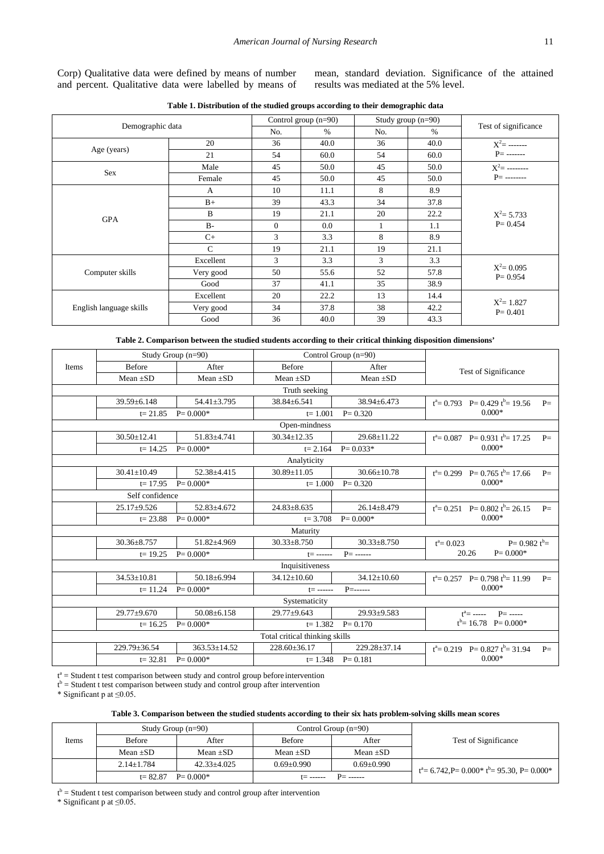Corp) Qualitative data were defined by means of number and percent. Qualitative data were labelled by means of

mean, standard deviation. Significance of the attained results was mediated at the 5% level.

<span id="page-3-0"></span>

| Demographic data        |               | Control group $(n=90)$ |      | Study group $(n=90)$ |      |                              |  |
|-------------------------|---------------|------------------------|------|----------------------|------|------------------------------|--|
|                         |               | No.                    | $\%$ | No.                  | $\%$ | Test of significance         |  |
| Age (years)             | 20            | 36                     | 40.0 | 36                   | 40.0 | $X^2$ = -------              |  |
|                         | 21            | 54                     | 60.0 | 54                   | 60.0 | $P=$ -------                 |  |
| Sex                     | Male          | 45                     | 50.0 | 45                   | 50.0 | $X^2$ = --------             |  |
|                         | Female        | 45                     | 50.0 | 45                   | 50.0 | $P=$ --------                |  |
|                         | A             | 10                     | 11.1 | 8                    | 8.9  |                              |  |
|                         | $B+$          | 39                     | 43.3 | 34                   | 37.8 |                              |  |
|                         | B             | 19                     | 21.1 | 20                   | 22.2 | $X^2 = 5.733$<br>$P = 0.454$ |  |
| <b>GPA</b>              | $B -$         | $\overline{0}$         | 0.0  |                      | 1.1  |                              |  |
|                         | $C+$          | 3                      | 3.3  | 8                    | 8.9  |                              |  |
|                         | $\mathcal{C}$ | 19                     | 21.1 | 19                   | 21.1 |                              |  |
| Computer skills         | Excellent     | 3                      | 3.3  | 3                    | 3.3  |                              |  |
|                         | Very good     | 50                     | 55.6 | 52                   | 57.8 | $X^2 = 0.095$<br>$P = 0.954$ |  |
|                         | Good          | 37                     | 41.1 | 35                   | 38.9 |                              |  |
| English language skills | Excellent     | 20                     | 22.2 | 13                   | 14.4 |                              |  |
|                         | Very good     | 34                     | 37.8 | 38                   | 42.2 | $X^2 = 1.827$<br>$P = 0.401$ |  |
|                         | Good          | 36                     | 40.0 | 39                   | 43.3 |                              |  |

**Table 1. Distribution of the studied groups according to their demographic data**

**Table 2. Comparison between the studied students according to their critical thinking disposition dimensions'**

<span id="page-3-1"></span>

|       | Study Group (n=90)                                             |                    |                                | Control Group (n=90)                    |                                              |  |
|-------|----------------------------------------------------------------|--------------------|--------------------------------|-----------------------------------------|----------------------------------------------|--|
| Items | <b>Before</b>                                                  | After              | <b>Before</b>                  | After                                   | <b>Test of Significance</b>                  |  |
|       | Mean $\pm SD$<br>Mean $\pm SD$<br>$Mean + SD$<br>Mean $\pm SD$ |                    |                                |                                         |                                              |  |
|       |                                                                |                    | Truth seeking                  |                                         |                                              |  |
|       | $39.59 \pm 6.148$                                              | 54.41±3.795        | 38.84±6.541                    | $38.94 \pm 6.473$                       | $t^a = 0.793$ P= 0.429 $t^b = 19.56$<br>$P=$ |  |
|       | $t = 21.85$                                                    | $P = 0.000*$       | $t = 1.001$                    | $P = 0.320$                             | $0.000*$                                     |  |
|       |                                                                |                    | Open-mindness                  |                                         |                                              |  |
|       | $30.50 \pm 12.41$                                              | 51.83±4.741        | $30.34 \pm 12.35$              | $29.68 \pm 11.22$                       | $t^a = 0.087$ P= 0.931 $t^b = 17.25$<br>$P=$ |  |
|       | $t = 14.25$                                                    | $P = 0.000*$       | $t = 2.164$                    | $P = 0.033*$                            | $0.000*$                                     |  |
|       |                                                                |                    | Analyticity                    |                                         |                                              |  |
|       | $30.41 \pm 10.49$                                              | 52.38±4.415        | 30.89±11.05                    | $30.66 \pm 10.78$                       | $t^a = 0.299$ P= 0.765 $t^b = 17.66$<br>$P=$ |  |
|       | $t = 17.95$                                                    | $P = 0.000*$       | $t = 1.000$                    | $P = 0.320$                             | $0.000*$                                     |  |
|       | Self confidence                                                |                    |                                |                                         |                                              |  |
|       | $25.17 \pm 9.526$                                              | $52.83 + 4.672$    | $24.83 \pm 8.635$              | $26.14 \pm 8.479$                       | $t^a = 0.251$ P= 0.802 $t^b = 26.15$<br>$P=$ |  |
|       | $t = 23.88$                                                    | $P = 0.000*$       |                                | $0.000*$<br>$t = 3.708$<br>$P = 0.000*$ |                                              |  |
|       |                                                                |                    | Maturity                       |                                         |                                              |  |
|       | $30.36 \pm 8.757$                                              | 51.82±4.969        | $30.33 \pm 8.750$              | $30.33 \pm 8.750$                       | $P = 0.982 t^{b} =$<br>$t^a = 0.023$         |  |
|       | $t = 19.25$                                                    | $P = 0.000*$       | $t =$ ------                   | $P =$ ------                            | 20.26<br>$P = 0.000*$                        |  |
|       |                                                                |                    | Inquisitiveness                |                                         |                                              |  |
|       | $34.53 \pm 10.81$                                              | 50.18±6.994        | $34.12 \pm 10.60$              | $34.12 \pm 10.60$                       | $t^a = 0.257$ P= 0.798 $t^b = 11.99$<br>$P=$ |  |
|       | $t = 11.24$                                                    | $P = 0.000*$       | $t =$ ------                   |                                         | $0.000*$                                     |  |
|       |                                                                |                    | Systematicity                  |                                         |                                              |  |
|       | $29.77 + 9.670$                                                | $50.08 + 6.158$    | $29.77 + 9.643$                | $29.93 + 9.583$                         | $t^a =$ ----- P= -----                       |  |
|       | $t = 16.25$                                                    | $P = 0.000*$       | $t = 1.382$<br>$P = 0.170$     |                                         | $t^b = 16.78$ P= 0.000*                      |  |
|       |                                                                |                    | Total critical thinking skills |                                         |                                              |  |
|       | 229.79±36.54                                                   | $363.53 \pm 14.52$ | $228.60 + 36.17$               | 229.28±37.14                            | $t^a = 0.219$ P= 0.827 $t^b = 31.94$<br>$P=$ |  |
|       | $t = 32.81$                                                    | $P = 0.000*$       |                                | $t=1.348$ P= 0.181                      | $0.000*$                                     |  |

t<sup>a</sup> = Student t test comparison between study and control group before intervention

 $t<sup>b</sup>$  = Student t test comparison between study and control group after intervention

\* Significant p at ≤0.05.

| Table 3. Comparison between the studied students according to their six hats problem-solving skills mean scores |  |  |  |
|-----------------------------------------------------------------------------------------------------------------|--|--|--|
|                                                                                                                 |  |  |  |

<span id="page-3-2"></span>

|       | Study Group $(n=90)$        |                   |                                | Control Group $(n=90)$ |                                                           |  |
|-------|-----------------------------|-------------------|--------------------------------|------------------------|-----------------------------------------------------------|--|
| Items | <b>Before</b>               | After             | <b>Before</b>                  | After                  | Test of Significance                                      |  |
|       | Mean $\pm SD$               | Mean $\pm SD$     | Mean $\pm SD$                  | Mean $\pm SD$          |                                                           |  |
|       | $2.14 \pm 1.784$            | $42.33 \pm 4.025$ | $0.69 + 0.990$                 | $0.69 \pm 0.990$       | $t^a = 6.742$ , $P = 0.000^* t^b = 95.30$ , $P = 0.000^*$ |  |
|       | $P = 0.000*$<br>$t = 82.87$ |                   | $P=$ ------<br>$t = - - - - -$ |                        |                                                           |  |

 $t<sup>b</sup>$  = Student t test comparison between study and control group after intervention

\* Significant p at ≤0.05.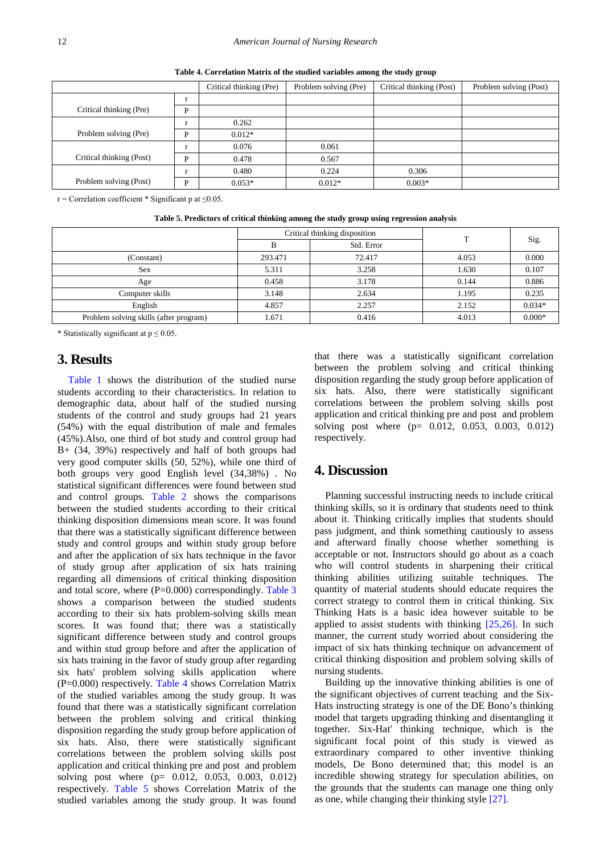<span id="page-4-0"></span>

|                          |           | Critical thinking (Pre) | Problem solving (Pre) | Critical thinking (Post) | Problem solving (Post) |
|--------------------------|-----------|-------------------------|-----------------------|--------------------------|------------------------|
|                          | $\bullet$ |                         |                       |                          |                        |
| Critical thinking (Pre)  | D         |                         |                       |                          |                        |
|                          |           | 0.262                   |                       |                          |                        |
| Problem solving (Pre)    | D         | $0.012*$                |                       |                          |                        |
|                          |           | 0.076                   | 0.061                 |                          |                        |
| Critical thinking (Post) | D         | 0.478                   | 0.567                 |                          |                        |
|                          |           | 0.480                   | 0.224                 | 0.306                    |                        |
| Problem solving (Post)   | D         | $0.053*$                | $0.012*$              | $0.003*$                 |                        |

**Table 4. Correlation Matrix of the studied variables among the study group**

 $r =$  Correlation coefficient \* Significant p at ≤0.05.

| Table 5. Predictors of critical thinking among the study group using regression analysis |  |  |
|------------------------------------------------------------------------------------------|--|--|
|                                                                                          |  |  |

<span id="page-4-1"></span>

|                                        |         | Critical thinking disposition | т     |          |
|----------------------------------------|---------|-------------------------------|-------|----------|
|                                        | В       | Std. Error                    |       | Sig.     |
| (Constant)                             | 293.471 | 72.417                        | 4.053 | 0.000    |
| <b>Sex</b>                             | 5.311   | 3.258                         | 1.630 | 0.107    |
| Age                                    | 0.458   | 3.178                         | 0.144 | 0.886    |
| Computer skills                        | 3.148   | 2.634                         | 1.195 | 0.235    |
| English                                | 4.857   | 2.257                         | 2.152 | $0.034*$ |
| Problem solving skills (after program) | 1.671   | 0.416                         | 4.013 | $0.000*$ |

\* Statistically significant at  $p \le 0.05$ .

## **3. Results**

[Table 1](#page-3-0) shows the distribution of the studied nurse students according to their characteristics. In relation to demographic data, about half of the studied nursing students of the control and study groups had 21 years (54%) with the equal distribution of male and females (45%).Also, one third of bot study and control group had B+ (34, 39%) respectively and half of both groups had very good computer skills (50, 52%), while one third of both groups very good English level (34,38%) . No statistical significant differences were found between stud and control groups. [Table 2](#page-3-1) shows the comparisons between the studied students according to their critical thinking disposition dimensions mean score. It was found that there was a statistically significant difference between study and control groups and within study group before and after the application of six hats technique in the favor of study group after application of six hats training regarding all dimensions of critical thinking disposition and total score, where (P=0.000) correspondingly. [Table 3](#page-3-2) shows a comparison between the studied students according to their six hats problem-solving skills mean scores. It was found that; there was a statistically significant difference between study and control groups and within stud group before and after the application of six hats training in the favor of study group after regarding six hats' problem solving skills application where (P=0.000) respectively. [Table 4](#page-4-0) shows Correlation Matrix of the studied variables among the study group. It was found that there was a statistically significant correlation between the problem solving and critical thinking disposition regarding the study group before application of six hats. Also, there were statistically significant correlations between the problem solving skills post application and critical thinking pre and post and problem solving post where (p= 0.012, 0.053, 0.003, 0.012) respectively. [Table 5](#page-4-1) shows Correlation Matrix of the studied variables among the study group. It was found

that there was a statistically significant correlation between the problem solving and critical thinking disposition regarding the study group before application of six hats. Also, there were statistically significant correlations between the problem solving skills post application and critical thinking pre and post and problem solving post where (p= 0.012, 0.053, 0.003, 0.012) respectively.

## **4. Discussion**

Planning successful instructing needs to include critical thinking skills, so it is ordinary that students need to think about it. Thinking critically implies that students should pass judgment, and think something cautiously to assess and afterward finally choose whether something is acceptable or not. Instructors should go about as a coach who will control students in sharpening their critical thinking abilities utilizing suitable techniques. The quantity of material students should educate requires the correct strategy to control them in critical thinking. Six Thinking Hats is a basic idea however suitable to be applied to assist students with thinking  $[25,26]$ . In such manner, the current study worried about considering the impact of six hats thinking technique on advancement of critical thinking disposition and problem solving skills of nursing students.

Building up the innovative thinking abilities is one of the significant objectives of current teaching and the Six-Hats instructing strategy is one of the DE Bono's thinking model that targets upgrading thinking and disentangling it together. Six-Hat' thinking technique, which is the significant focal point of this study is viewed as extraordinary compared to other inventive thinking models, De Bono determined that; this model is an incredible showing strategy for speculation abilities, on the grounds that the students can manage one thing only as one, while changing their thinking style [\[27\].](#page-6-12)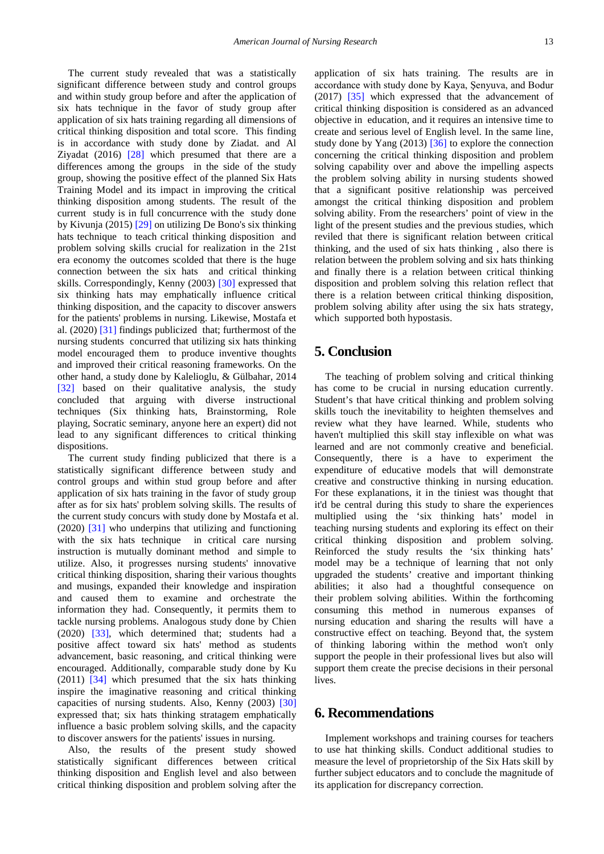The current study revealed that was a statistically significant difference between study and control groups and within study group before and after the application of six hats technique in the favor of study group after application of six hats training regarding all dimensions of critical thinking disposition and total score. This finding is in accordance with study done by Ziadat. and Al Ziyadat (2016) [\[28\]](#page-6-13) which presumed that there are a differences among the groups in the side of the study group, showing the positive effect of the planned Six Hats Training Model and its impact in improving the critical thinking disposition among students. The result of the current study is in full concurrence with the study done by Kivunja (2015) [\[29\]](#page-6-14) on utilizing De Bono's six thinking hats technique to teach critical thinking disposition and problem solving skills crucial for realization in the 21st era economy the outcomes scolded that there is the huge connection between the six hats and critical thinking skills. Correspondingly, Kenny (2003) [\[30\]](#page-6-15) expressed that six thinking hats may emphatically influence critical thinking disposition, and the capacity to discover answers for the patients' problems in nursing. Likewise, Mostafa et al. (2020) [\[31\]](#page-6-16) findings publicized that; furthermost of the nursing students concurred that utilizing six hats thinking model encouraged them to produce inventive thoughts and improved their critical reasoning frameworks. On the other hand, a study done by Kalelioglu, & Gülbahar, 2014 [\[32\]](#page-6-17) based on their qualitative analysis, the study concluded that arguing with diverse instructional techniques (Six thinking hats, Brainstorming, Role playing, Socratic seminary, anyone here an expert) did not lead to any significant differences to critical thinking dispositions.

The current study finding publicized that there is a statistically significant difference between study and control groups and within stud group before and after application of six hats training in the favor of study group after as for six hats' problem solving skills. The results of the current study concurs with study done by Mostafa et al. (2020) [\[31\]](#page-6-16) who underpins that utilizing and functioning with the six hats technique in critical care nursing instruction is mutually dominant method and simple to utilize. Also, it progresses nursing students' innovative critical thinking disposition, sharing their various thoughts and musings, expanded their knowledge and inspiration and caused them to examine and orchestrate the information they had. Consequently, it permits them to tackle nursing problems. Analogous study done by Chien (2020) [\[33\],](#page-6-18) which determined that; students had a positive affect toward six hats' method as students advancement, basic reasoning, and critical thinking were encouraged. Additionally, comparable study done by Ku (2011) [\[34\]](#page-6-19) which presumed that the six hats thinking inspire the imaginative reasoning and critical thinking capacities of nursing students. Also, Kenny (2003) [\[30\]](#page-6-15) expressed that; six hats thinking stratagem emphatically influence a basic problem solving skills, and the capacity to discover answers for the patients' issues in nursing.

Also, the results of the present study showed statistically significant differences between critical thinking disposition and English level and also between critical thinking disposition and problem solving after the

application of six hats training. The results are in accordance with study done by Kaya, Şenyuva, and Bodur (2017) [\[35\]](#page-6-20) which expressed that the advancement of critical thinking disposition is considered as an advanced objective in education, and it requires an intensive time to create and serious level of English level. In the same line, study done by Yang (2013) [\[36\]](#page-6-21) to explore the connection concerning the critical thinking disposition and problem solving capability over and above the impelling aspects the problem solving ability in nursing students showed that a significant positive relationship was perceived amongst the critical thinking disposition and problem solving ability. From the researchers' point of view in the light of the present studies and the previous studies, which reviled that there is significant relation between critical thinking, and the used of six hats thinking , also there is relation between the problem solving and six hats thinking and finally there is a relation between critical thinking disposition and problem solving this relation reflect that there is a relation between critical thinking disposition, problem solving ability after using the six hats strategy, which supported both hypostasis.

# **5. Conclusion**

The teaching of problem solving and critical thinking has come to be crucial in nursing education currently. Student's that have critical thinking and problem solving skills touch the inevitability to heighten themselves and review what they have learned. While, students who haven't multiplied this skill stay inflexible on what was learned and are not commonly creative and beneficial. Consequently, there is a have to experiment the expenditure of educative models that will demonstrate creative and constructive thinking in nursing education. For these explanations, it in the tiniest was thought that it'd be central during this study to share the experiences multiplied using the 'six thinking hats' model in teaching nursing students and exploring its effect on their critical thinking disposition and problem solving. Reinforced the study results the 'six thinking hats' model may be a technique of learning that not only upgraded the students' creative and important thinking abilities; it also had a thoughtful consequence on their problem solving abilities. Within the forthcoming consuming this method in numerous expanses of nursing education and sharing the results will have a constructive effect on teaching. Beyond that, the system of thinking laboring within the method won't only support the people in their professional lives but also will support them create the precise decisions in their personal lives.

# **6. Recommendations**

Implement workshops and training courses for teachers to use hat thinking skills. Conduct additional studies to measure the level of proprietorship of the Six Hats skill by further subject educators and to conclude the magnitude of its application for discrepancy correction.